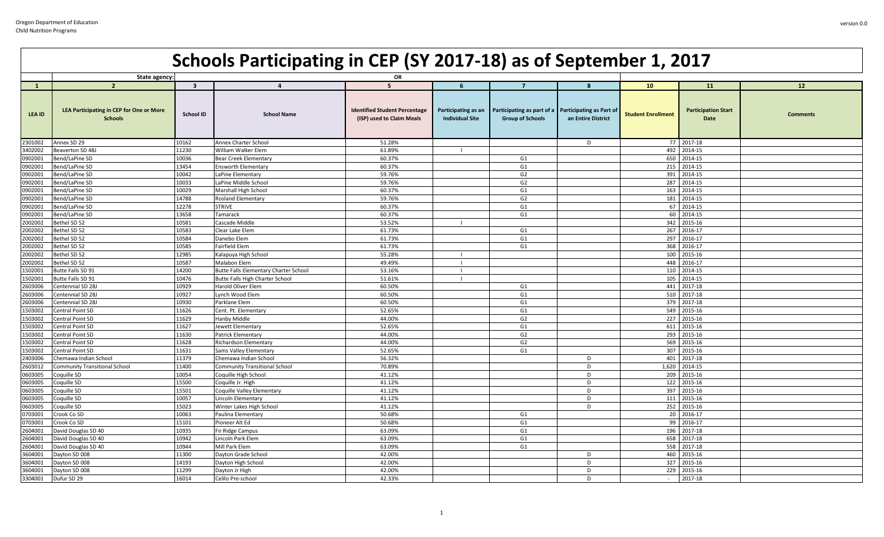|               | State agency:                                                     |                         |                                       | OR                                                                |                                               |                                                                                |                    |                           |                                           |                 |
|---------------|-------------------------------------------------------------------|-------------------------|---------------------------------------|-------------------------------------------------------------------|-----------------------------------------------|--------------------------------------------------------------------------------|--------------------|---------------------------|-------------------------------------------|-----------------|
| $\mathbf{1}$  | $\overline{2}$                                                    | $\overline{\mathbf{3}}$ | $\Delta$                              | $\overline{5}$                                                    | 6                                             | $\overline{7}$                                                                 | $\mathbf{R}$       | 10 <sup>°</sup>           | <b>11</b>                                 | 12              |
| <b>LEA ID</b> | <b>LEA Participating in CEP for One or More</b><br><b>Schools</b> | School ID               | <b>School Name</b>                    | <b>Identified Student Percentage</b><br>(ISP) used to Claim Meals | Participating as an<br><b>Individual Site</b> | Participating as part of a Participating as Part of<br><b>Group of Schools</b> | an Entire District | <b>Student Enrollment</b> | <b>Participation Start</b><br><b>Date</b> | <b>Comments</b> |
| 2301002       | Annex SD 29                                                       | 10162                   | Annex Charter School                  | 51.28%                                                            |                                               |                                                                                | D                  |                           | 77 2017-18                                |                 |
| 3402002       | Beaverton SD 48J                                                  | 11230                   | William Walker Elem                   | 61.89%                                                            |                                               |                                                                                |                    | 492                       | 2014-15                                   |                 |
| 0902001       | Bend/LaPine SD                                                    | 10036                   | Bear Creek Elementary                 | 60.37%                                                            |                                               | G1                                                                             |                    | 650                       | 2014-15                                   |                 |
| 0902001       | Bend/LaPine SD                                                    | 13454                   | <b>Ensworth Elementary</b>            | 60.37%                                                            |                                               | G <sub>1</sub>                                                                 |                    |                           | 215 2014-15                               |                 |
| 0902001       | Bend/LaPine SD                                                    | 10042                   | LaPine Elementary                     | 59.76%                                                            |                                               | G <sub>2</sub>                                                                 |                    | 391                       | 2014-15                                   |                 |
| 0902001       | Bend/LaPine SD                                                    | 10033                   | LaPine Middle School                  | 59.76%                                                            |                                               | G2                                                                             |                    | 287                       | 2014-15                                   |                 |
| 0902001       | Bend/LaPine SD                                                    | 10029                   | Marshall High School                  | 60.37%                                                            |                                               | G1                                                                             |                    | 163                       | 2014-15                                   |                 |
| 0902001       | Bend/LaPine SD                                                    | 14788                   | Rosland Elementary                    | 59.76%                                                            |                                               | G2                                                                             |                    |                           | 181 2014-15                               |                 |
| 0902001       | Bend/LaPine SD                                                    | 12278                   | <b>STRIVE</b>                         | 60.37%                                                            |                                               | G1                                                                             |                    |                           | 67 2014-15                                |                 |
| 0902001       | Bend/LaPine SD                                                    | 13658                   | Tamarack                              | 60.37%                                                            |                                               | G1                                                                             |                    |                           | 60 2014-15                                |                 |
| 2002002       | Bethel SD 52                                                      | 10581                   | Cascade Middle                        | 53.52%                                                            |                                               |                                                                                |                    |                           | 342 2015-16                               |                 |
| 2002002       | Bethel SD 52                                                      | 10583                   | Clear Lake Elem                       | 61.73%                                                            |                                               | G1                                                                             |                    |                           | 267 2016-17                               |                 |
| 2002002       | Bethel SD 52                                                      | 10584                   | Danebo Elem                           | 61.73%                                                            |                                               | G <sub>1</sub>                                                                 |                    | 297                       | 2016-17                                   |                 |
| 2002002       | Bethel SD 52                                                      | 10585                   | Fairfield Elem                        | 61.73%                                                            |                                               | G1                                                                             |                    | 368                       | 2016-17                                   |                 |
| 2002002       | Bethel SD 52                                                      | 12985                   | Kalapuya High School                  | 55.28%                                                            | $\blacksquare$                                |                                                                                |                    | 100                       | 2015-16                                   |                 |
| 2002002       | Bethel SD 52                                                      | 10587                   | Malabon Elem                          | 49.49%                                                            | $\blacksquare$                                |                                                                                |                    | 448                       | 2016-17                                   |                 |
| 1502001       | Butte Falls SD 91                                                 | 14200                   | Butte Falls Elementary Charter School | 53.16%                                                            | $\blacksquare$                                |                                                                                |                    |                           | 110 2014-15                               |                 |
| 1502001       | Butte Falls SD 91                                                 | 10476                   | Butte Falls High Charter School       | 51.61%                                                            | $\blacksquare$                                |                                                                                |                    |                           | 105 2014-15                               |                 |
| 2603006       | Centennial SD 28J                                                 | 10929                   | Harold Oliver Elem                    | 60.50%                                                            |                                               | G1                                                                             |                    | 441                       | 2017-18                                   |                 |
| 2603006       | Centennial SD 28J                                                 | 10927                   | Lynch Wood Elem                       | 60.50%                                                            |                                               | G1                                                                             |                    |                           | 510 2017-18                               |                 |
| 2603006       | Centennial SD 28J                                                 | 10930                   | Parklane Elem                         | 60.50%                                                            |                                               | G1                                                                             |                    | 379                       | 2017-18                                   |                 |
| 1503002       | Central Point SD                                                  | 11626                   | Cent. Pt. Elementary                  | 52.65%                                                            |                                               | G1                                                                             |                    |                           | 549 2015-16                               |                 |
| 1503002       | Central Point SD                                                  | 11629                   | Hanby Middle                          | 44.00%                                                            |                                               | G2                                                                             |                    |                           | 227 2015-16                               |                 |
| 1503002       | Central Point SD                                                  | 11627                   | Jewett Elementary                     | 52.65%                                                            |                                               | G1                                                                             |                    | 611                       | 2015-16                                   |                 |
| 1503002       | Central Point SD                                                  | 11630                   | Patrick Elementary                    | 44.00%                                                            |                                               | G <sub>2</sub>                                                                 |                    | 293                       | 2015-16                                   |                 |
| 1503002       | Central Point SD                                                  | 11628                   | Richardson Elementary                 | 44.00%                                                            |                                               | G <sub>2</sub>                                                                 |                    | 569                       | 2015-16                                   |                 |
| 1503002       | Central Point SD                                                  | 11631                   | Sams Valley Elementary                | 52.65%                                                            |                                               | G1                                                                             |                    |                           | 307 2015-16                               |                 |
| 2403006       | Chemawa Indian School                                             | 11379                   | Chemawa Indian School                 | 56.32%                                                            |                                               |                                                                                | D                  |                           | 401 2017-18                               |                 |
| 2603012       | <b>Community Transitional School</b>                              | 11400                   | <b>Community Transitional School</b>  | 70.89%                                                            |                                               |                                                                                | D                  | 1,620                     | 2014-15                                   |                 |
| 0603005       | Coquille SD                                                       | 10054                   | Coquille High School                  | 41.12%                                                            |                                               |                                                                                | D                  | 209                       | 2015-16                                   |                 |
| 0603005       | Coquille SD                                                       | 15500                   | Coquille Jr. High                     | 41.12%                                                            |                                               |                                                                                | <sub>D</sub>       | 122                       | 2015-16                                   |                 |
| 0603005       | Coquille SD                                                       | 15501                   | Coquille Valley Elementary            | 41.12%                                                            |                                               |                                                                                | D                  |                           | 397 2015-16                               |                 |
| 0603005       | Coquille SD                                                       | 10057                   | Lincoln Elementary                    | 41.12%                                                            |                                               |                                                                                | D                  |                           | 111 2015-16                               |                 |
| 0603005       | Coquille SD                                                       | 15023                   | Winter Lakes High School              | 41.12%                                                            |                                               |                                                                                | D                  |                           | 252 2015-16                               |                 |
| 0703001       | Crook Co SD                                                       | 10063                   | Paulina Elementary                    | 50.68%                                                            |                                               | G1                                                                             |                    |                           | 20 2016-17                                |                 |
| 0703001       | Crook Co SD                                                       | 15101                   | Pioneer Alt Ed                        | 50.68%                                                            |                                               | G1                                                                             |                    |                           | 99 2016-17                                |                 |
| 2604001       | David Douglas SD 40                                               | 10935                   | Fir Ridge Campus                      | 63.09%                                                            |                                               | G1                                                                             |                    |                           | 196 2017-18                               |                 |
| 2604001       | David Douglas SD 40                                               | 10942                   | Lincoln Park Elem                     | 63.09%                                                            |                                               | G1                                                                             |                    |                           | 658 2017-18                               |                 |
| 2604001       | David Douglas SD 40                                               | 10944                   | Mill Park Elem                        | 63.09%                                                            |                                               | G1                                                                             |                    | 558                       | 2017-18                                   |                 |
| 3604001       | Dayton SD 008                                                     | 11300                   | Dayton Grade School                   | 42.00%                                                            |                                               |                                                                                | D                  | 460                       | 2015-16                                   |                 |
| 3604001       | Dayton SD 008                                                     | 14193                   | Dayton High School                    | 42.00%                                                            |                                               |                                                                                | D                  | 327                       | 2015-16                                   |                 |
| 3604001       | Dayton SD 008                                                     | 11299                   | Dayton Jr High                        | 42.00%                                                            |                                               |                                                                                | D                  | 229                       | 2015-16                                   |                 |
| 3304001       | Dufur SD 29                                                       | 16014                   | Celilo Pre-school                     | 42.33%                                                            |                                               |                                                                                | D                  | $\sim$                    | 2017-18                                   |                 |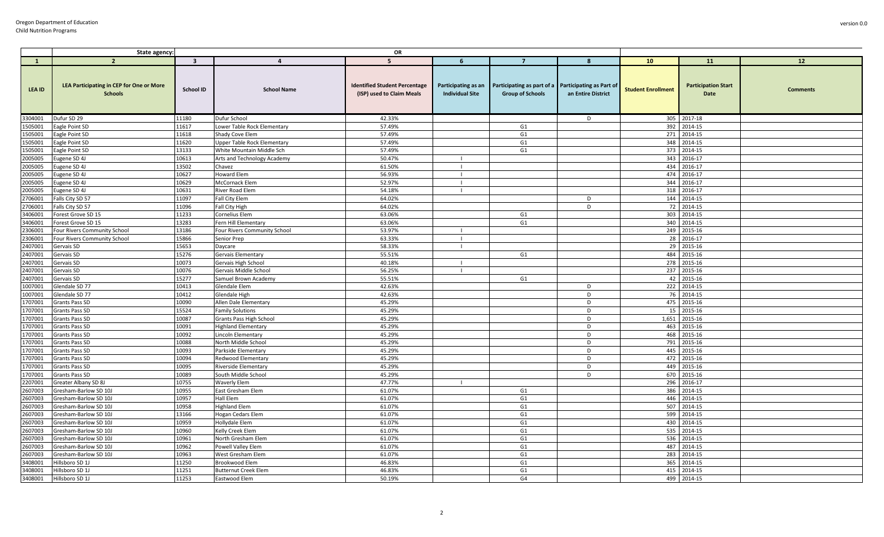|                    | State agency:                                                     |                         |                                                  | OR                                                                |                        |                                                                                                    |                    |                           |                                    |                 |
|--------------------|-------------------------------------------------------------------|-------------------------|--------------------------------------------------|-------------------------------------------------------------------|------------------------|----------------------------------------------------------------------------------------------------|--------------------|---------------------------|------------------------------------|-----------------|
| $\mathbf{1}$       | $\overline{2}$                                                    | $\overline{\mathbf{3}}$ | $\overline{a}$                                   | 5 <sup>5</sup>                                                    | 6                      | $\overline{7}$                                                                                     | 8                  | 10                        | 11                                 | 12              |
| <b>LEA ID</b>      | <b>LEA Participating in CEP for One or More</b><br><b>Schools</b> | School ID               | <b>School Name</b>                               | <b>Identified Student Percentage</b><br>(ISP) used to Claim Meals | <b>Individual Site</b> | Participating as an Participating as part of a Participating as Part of<br><b>Group of Schools</b> | an Entire District | <b>Student Enrollment</b> | <b>Participation Start</b><br>Date | <b>Comments</b> |
| 3304001            | Dufur SD 29                                                       | 11180                   | Dufur School                                     | 42.33%                                                            |                        |                                                                                                    | D                  | 305                       | 2017-18                            |                 |
| 1505001            | Eagle Point SD                                                    | 11617                   | Lower Table Rock Elementary                      | 57.49%                                                            |                        | G <sub>1</sub>                                                                                     |                    | 392                       | 2014-15                            |                 |
| 1505001            | Eagle Point SD                                                    | 11618                   | Shady Cove Elem                                  | 57.49%                                                            |                        | G1                                                                                                 |                    | 271                       | 2014-15                            |                 |
| 1505001            | Eagle Point SD                                                    | 11620                   | <b>Upper Table Rock Elementary</b>               | 57.49%                                                            |                        | G1                                                                                                 |                    | 348                       | 2014-15                            |                 |
| 1505001            | Eagle Point SD                                                    | 13133                   | White Mountain Middle Sch                        | 57.49%                                                            |                        | G1                                                                                                 |                    | 373                       | 2014-15                            |                 |
| 2005005            | Eugene SD 4J                                                      | 10613                   | Arts and Technology Academy                      | 50.47%                                                            | $\mathbf{I}$           |                                                                                                    |                    | 343                       | 2016-17                            |                 |
| 2005005            | Eugene SD 4J                                                      | 13502                   | Chavez                                           | 61.50%                                                            | $\perp$                |                                                                                                    |                    | 434                       | 2016-17                            |                 |
| 2005005            | Eugene SD 4J                                                      | 10627                   | Howard Elem                                      | 56.93%                                                            |                        |                                                                                                    |                    | 474                       | 2016-17                            |                 |
| 2005005            | Eugene SD 4J                                                      | 10629                   | <b>McCornack Elem</b>                            | 52.97%                                                            |                        |                                                                                                    |                    | 344                       | 2016-17                            |                 |
| 2005005            | Eugene SD 4J                                                      | 10631                   | River Road Elem                                  | 54.18%                                                            | $\blacksquare$         |                                                                                                    |                    | 318                       | 2016-17                            |                 |
| 2706001            | Falls City SD 57                                                  | 11097                   | Fall City Elem                                   | 64.02%                                                            |                        |                                                                                                    | D                  | 144                       | 2014-15                            |                 |
| 2706001            | Falls City SD 57                                                  | 11096                   | Fall City High                                   | 64.02%                                                            |                        |                                                                                                    | D                  | 72                        | 2014-15                            |                 |
| 3406001            | Forest Grove SD 15                                                | 11233                   | Cornelius Elem                                   | 63.06%                                                            |                        | G1                                                                                                 |                    | 303                       | 2014-15                            |                 |
| 3406001            | Forest Grove SD 15                                                | 13283                   | Fern Hill Elementary                             | 63.06%                                                            |                        | G1                                                                                                 |                    | 340                       | 2014-15                            |                 |
| 2306001            | Four Rivers Community School                                      | 13186                   | Four Rivers Community School                     | 53.97%                                                            |                        |                                                                                                    |                    | 249                       | 2015-16                            |                 |
| 2306001            | Four Rivers Community School                                      | 15866                   | Senior Prep                                      | 63.33%                                                            | -1                     |                                                                                                    |                    | 28                        | 2016-17                            |                 |
| 2407001            | Gervais SD                                                        | 15653                   | Daycare                                          | 58.33%                                                            | $\mathbf{I}$           |                                                                                                    |                    | 29                        | 2015-16                            |                 |
| 2407001            | Gervais SD                                                        | 15276                   | Gervais Elementary                               | 55.51%                                                            |                        | G1                                                                                                 |                    | 484                       | 2015-16                            |                 |
| 2407001            | Gervais SD                                                        | 10073                   | Gervais High School                              | 40.18%                                                            |                        |                                                                                                    |                    | 278                       | 2015-16                            |                 |
| 2407001            | Gervais SD                                                        | 10076                   | Gervais Middle Schoo                             | 56.25%                                                            |                        |                                                                                                    |                    | 237                       | 2015-16                            |                 |
| 2407001            | Gervais SD                                                        | 15277                   | Samuel Brown Academy                             | 55.51%                                                            |                        | G1                                                                                                 |                    | 42                        | 2015-16                            |                 |
| 1007001            | Glendale SD 77                                                    | 10413                   | Glendale Elem                                    | 42.63%                                                            |                        |                                                                                                    | D                  | 222                       | 2014-15                            |                 |
| 1007001            | Glendale SD 77                                                    | 10412                   | Glendale High                                    | 42.63%                                                            |                        |                                                                                                    | D                  | 76                        | 2014-15                            |                 |
| 1707001            | <b>Grants Pass SD</b>                                             | 10090                   | Allen Dale Elementary                            | 45.29%                                                            |                        |                                                                                                    | D                  | 475                       | 2015-16                            |                 |
| 1707001            | <b>Grants Pass SD</b>                                             | 15524<br>10087          | <b>Family Solutions</b>                          | 45.29%<br>45.29%                                                  |                        |                                                                                                    | D<br>D             | 15<br>1,651               | 2015-16<br>2015-16                 |                 |
| 1707001<br>1707001 | Grants Pass SD<br><b>Grants Pass SD</b>                           | 10091                   | Grants Pass High School                          | 45.29%                                                            |                        |                                                                                                    | D                  | 463                       | 2015-16                            |                 |
| 1707001            | Grants Pass SD                                                    | 10092                   | <b>Highland Elementary</b><br>Lincoln Elementary | 45.29%                                                            |                        |                                                                                                    | D                  | 468                       | 2015-16                            |                 |
| 1707001            | Grants Pass SD                                                    | 10088                   | North Middle School                              | 45.29%                                                            |                        |                                                                                                    | D                  | 791                       | 2015-16                            |                 |
| 1707001            | Grants Pass SD                                                    | 10093                   | Parkside Elementary                              | 45.29%                                                            |                        |                                                                                                    | D                  | 445                       | 2015-16                            |                 |
| 1707001            | Grants Pass SD                                                    | 10094                   | Redwood Elementar                                | 45.29%                                                            |                        |                                                                                                    | D                  | 472                       | 2015-16                            |                 |
| 1707001            | Grants Pass SD                                                    | 10095                   | Riverside Elementary                             | 45.29%                                                            |                        |                                                                                                    | D                  | 449                       | 2015-16                            |                 |
| 1707001            | Grants Pass SD                                                    | 10089                   | South Middle School                              | 45.29%                                                            |                        |                                                                                                    | D                  | 670                       | 2015-16                            |                 |
| 2207001            | Greater Albany SD 8J                                              | 10755                   | <b>Waverly Elem</b>                              | 47.77%                                                            |                        |                                                                                                    |                    | 296                       | 2016-17                            |                 |
| 2607003            | Gresham-Barlow SD 10J                                             | 10955                   | East Gresham Elem                                | 61.07%                                                            |                        | G1                                                                                                 |                    | 386                       | 2014-15                            |                 |
| 2607003            | Gresham-Barlow SD 10J                                             | 10957                   | Hall Elem                                        | 61.07%                                                            |                        | G1                                                                                                 |                    | 446                       | 2014-15                            |                 |
| 2607003            | Gresham-Barlow SD 10J                                             | 10958                   | <b>Highland Elem</b>                             | 61.07%                                                            |                        | G1                                                                                                 |                    | 507                       | 2014-15                            |                 |
| 2607003            | Gresham-Barlow SD 10J                                             | 13166                   | Hogan Cedars Elem                                | 61.07%                                                            |                        | G1                                                                                                 |                    | 599                       | 2014-15                            |                 |
| 2607003            | Gresham-Barlow SD 10J                                             | 10959                   | Hollydale Elem                                   | 61.07%                                                            |                        | G1                                                                                                 |                    | 430                       | 2014-15                            |                 |
| 2607003            | Gresham-Barlow SD 10J                                             | 10960                   | Kelly Creek Elem                                 | 61.07%                                                            |                        | G1                                                                                                 |                    | 535                       | 2014-15                            |                 |
| 2607003            | Gresham-Barlow SD 10J                                             | 10961                   | North Gresham Elem                               | 61.07%                                                            |                        | G1                                                                                                 |                    | 536                       | 2014-15                            |                 |
| 2607003            | Gresham-Barlow SD 10J                                             | 10962                   | Powell Valley Elem                               | 61.07%                                                            |                        | G1                                                                                                 |                    | 487                       | 2014-15                            |                 |
| 2607003            | Gresham-Barlow SD 10J                                             | 10963                   | West Gresham Elem                                | 61.07%                                                            |                        | G1                                                                                                 |                    | 283                       | 2014-15                            |                 |
| 3408001            | Hillsboro SD 1J                                                   | 11250                   | Brookwood Elem                                   | 46.83%                                                            |                        | G1                                                                                                 |                    | 365                       | 2014-15                            |                 |
| 3408001            | Hillsboro SD 1J                                                   | 11251                   | <b>Butternut Creek Elem</b>                      | 46.83%                                                            |                        | G <sub>1</sub>                                                                                     |                    | 415                       | 2014-15                            |                 |
| 3408001            | Hillsboro SD 1J                                                   | 11253                   | Eastwood Elem                                    | 50.19%                                                            |                        | G4                                                                                                 |                    | 499                       | 2014-15                            |                 |

version 0.0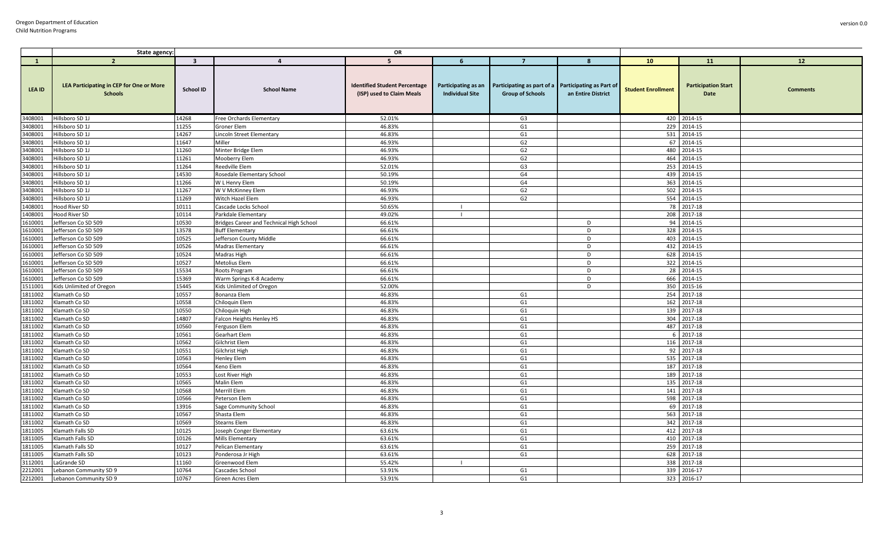|                    | OR<br>State agency:                                               |                         |                                          |                                                                   |                        |                                                                                                    |                    |                           |                                    |                 |
|--------------------|-------------------------------------------------------------------|-------------------------|------------------------------------------|-------------------------------------------------------------------|------------------------|----------------------------------------------------------------------------------------------------|--------------------|---------------------------|------------------------------------|-----------------|
| $\mathbf{1}$       | $\overline{2}$                                                    | $\overline{\mathbf{3}}$ | $\overline{4}$                           | 5                                                                 | 6                      | $\overline{7}$                                                                                     | 8                  | 10                        | <b>11</b>                          | 12              |
| <b>LEA ID</b>      | <b>LEA Participating in CEP for One or More</b><br><b>Schools</b> | School ID               | <b>School Name</b>                       | <b>Identified Student Percentage</b><br>(ISP) used to Claim Meals | <b>Individual Site</b> | Participating as an Participating as part of a Participating as Part of<br><b>Group of Schools</b> | an Entire District | <b>Student Enrollment</b> | <b>Participation Start</b><br>Date | <b>Comments</b> |
| 3408001            | Hillsboro SD 1J                                                   | 14268                   | Free Orchards Elementary                 | 52.01%                                                            |                        | G3                                                                                                 |                    |                           | 420 2014-15                        |                 |
| 3408001            | Hillsboro SD 1J                                                   | 11255                   | Groner Elem                              | 46.83%                                                            |                        | G1                                                                                                 |                    | 229                       | 2014-15                            |                 |
| 3408001            | Hillsboro SD 1J                                                   | 14267                   | Lincoln Street Elementary                | 46.83%                                                            |                        | G1                                                                                                 |                    | 531                       | 2014-15                            |                 |
| 3408001            | Hillsboro SD 1J                                                   | 11647                   | Miller                                   | 46.93%                                                            |                        | G2                                                                                                 |                    | 67                        | 2014-15                            |                 |
| 3408001            | Hillsboro SD 1J                                                   | 11260                   | Minter Bridge Elem                       | 46.93%                                                            |                        | G <sub>2</sub>                                                                                     |                    | 480                       | 2014-15                            |                 |
| 3408001            | Hillsboro SD 1J                                                   | 11261                   | Mooberry Elem                            | 46.93%                                                            |                        | G2                                                                                                 |                    | 464                       | 2014-15                            |                 |
| 3408001            | Hillsboro SD 1J                                                   | 11264                   | Reedville Elem                           | 52.01%                                                            |                        | G <sub>3</sub>                                                                                     |                    | 253                       | 2014-15                            |                 |
| 3408001            | Hillsboro SD 1J                                                   | 14530                   | Rosedale Elementary School               | 50.19%                                                            |                        | G4                                                                                                 |                    | 439                       | 2014-15                            |                 |
| 3408001            | Hillsboro SD 1J                                                   | 11266                   | W L Henry Elem                           | 50.19%                                                            |                        | G4                                                                                                 |                    | 363                       | 2014-15                            |                 |
| 3408001            | Hillsboro SD 1J                                                   | 11267                   | W V McKinney Elem                        | 46.93%                                                            |                        | G2                                                                                                 |                    | 502                       | 2014-15                            |                 |
| 3408001            | Hillsboro SD 1J                                                   | 11269                   | Witch Hazel Elem                         | 46.93%                                                            |                        | G2                                                                                                 |                    | 554                       | 2014-15                            |                 |
| 1408001            | Hood River SD                                                     | 10111                   | Cascade Locks School                     | 50.65%                                                            |                        |                                                                                                    |                    | 78                        | 2017-18                            |                 |
| 1408001            | <b>Hood River SD</b>                                              | 10114                   | Parkdale Elementary                      | 49.02%                                                            |                        |                                                                                                    |                    | 208                       | 2017-18                            |                 |
| 1610001            | Jefferson Co SD 509                                               | 10530                   | Bridges Career and Technical High School | 66.61%                                                            |                        |                                                                                                    | D                  | 94                        | 2014-15                            |                 |
| 1610001            | Jefferson Co SD 509                                               | 13578                   | <b>Buff Elementary</b>                   | 66.61%                                                            |                        |                                                                                                    | D                  | 328                       | 2014-15                            |                 |
| 1610001            | Jefferson Co SD 509                                               | 10525                   | Jefferson County Middle                  | 66.61%                                                            |                        |                                                                                                    | D                  | 403                       | 2014-15                            |                 |
| 1610001            | lefferson Co SD 509                                               | 10526                   | <b>Madras Elementary</b>                 | 66.61%                                                            |                        |                                                                                                    | D                  | 432                       | 2014-15                            |                 |
| 1610001            | Jefferson Co SD 509                                               | 10524                   | Madras High                              | 66.61%                                                            |                        |                                                                                                    | D                  | 628                       | 2014-15                            |                 |
| 1610001            | Jefferson Co SD 509                                               | 10527                   | Metolius Elem                            | 66.61%                                                            |                        |                                                                                                    | D                  | 322                       | 2014-15                            |                 |
| 1610001            | Jefferson Co SD 509                                               | 15534                   | Roots Program                            | 66.61%                                                            |                        |                                                                                                    | D                  | 28                        | 2014-15                            |                 |
| 1610001            | Jefferson Co SD 509                                               | 15369                   | Warm Springs K-8 Academy                 | 66.61%                                                            |                        |                                                                                                    | D                  | 666                       | 2014-15                            |                 |
| 1511001            | Kids Unlimited of Oregon                                          | 15445<br>10557          | Kids Unlimited of Oregon                 | 52.00%<br>46.83%                                                  |                        |                                                                                                    | D                  | 350<br>254                | 2015-16<br>2017-18                 |                 |
| 1811002<br>1811002 | Klamath Co SD<br>Klamath Co SD                                    | 10558                   | Bonanza Elem<br>Chiloquin Elem           | 46.83%                                                            |                        | G1<br>G1                                                                                           |                    | 162                       | 2017-18                            |                 |
| 1811002            | Klamath Co SD                                                     | 10550                   | Chiloguin High                           | 46.83%                                                            |                        | G1                                                                                                 |                    | 139                       | 2017-18                            |                 |
| 1811002            | Klamath Co SD                                                     | 14807                   | Falcon Heights Henley HS                 | 46.83%                                                            |                        | G1                                                                                                 |                    | 304                       | 2017-18                            |                 |
| 1811002            | Klamath Co SD                                                     | 10560                   | Ferguson Elem                            | 46.83%                                                            |                        | G <sub>1</sub>                                                                                     |                    | 487                       | 2017-18                            |                 |
| 1811002            | Klamath Co SD                                                     | 10561                   | Gearhart Elem                            | 46.83%                                                            |                        | G1                                                                                                 |                    | -6                        | 2017-18                            |                 |
| 1811002            | Klamath Co SD                                                     | 10562                   | Gilchrist Elem                           | 46.83%                                                            |                        | G1                                                                                                 |                    | 116                       | 2017-18                            |                 |
| 1811002            | Klamath Co SD                                                     | 10551                   | Gilchrist High                           | 46.83%                                                            |                        | G1                                                                                                 |                    | 92                        | 2017-18                            |                 |
| 1811002            | Klamath Co SD                                                     | 10563                   | Henley Elem                              | 46.83%                                                            |                        | G1                                                                                                 |                    | 535                       | 2017-18                            |                 |
| 1811002            | Klamath Co SD                                                     | 10564                   | Keno Elem                                | 46.83%                                                            |                        | G1                                                                                                 |                    | 187                       | 2017-18                            |                 |
| 1811002            | Klamath Co SD                                                     | 10553                   | Lost River High                          | 46.83%                                                            |                        | G1                                                                                                 |                    | 189                       | 2017-18                            |                 |
| 1811002            | Klamath Co SD                                                     | 10565                   | Malin Elem                               | 46.83%                                                            |                        | G <sub>1</sub>                                                                                     |                    | 135                       | 2017-18                            |                 |
| 1811002            | Klamath Co SD                                                     | 10568                   | Merrill Elem                             | 46.83%                                                            |                        | G1                                                                                                 |                    | 141                       | 2017-18                            |                 |
| 1811002            | Klamath Co SD                                                     | 10566                   | Peterson Elem                            | 46.83%                                                            |                        | G1                                                                                                 |                    | 598                       | 2017-18                            |                 |
| 1811002            | Klamath Co SD                                                     | 13916                   | Sage Community School                    | 46.83%                                                            |                        | G <sub>1</sub>                                                                                     |                    | 69                        | 2017-18                            |                 |
| 1811002            | Klamath Co SD                                                     | 10567                   | Shasta Elem                              | 46.83%                                                            |                        | G1                                                                                                 |                    | 563                       | 2017-18                            |                 |
| 1811002            | Klamath Co SD                                                     | 10569                   | <b>Stearns Elem</b>                      | 46.83%                                                            |                        | G1                                                                                                 |                    | 342                       | 2017-18                            |                 |
| 1811005            | Klamath Falls SD                                                  | 10125                   | Joseph Conger Elementary                 | 63.61%                                                            |                        | G1                                                                                                 |                    | 412                       | 2017-18                            |                 |
| 1811005            | Klamath Falls SD                                                  | 10126                   | Mills Elementary                         | 63.61%                                                            |                        | G1                                                                                                 |                    | 410                       | 2017-18                            |                 |
| 1811005            | Klamath Falls SD                                                  | 10127                   | Pelican Elementary                       | 63.61%                                                            |                        | G1                                                                                                 |                    | 259                       | 2017-18                            |                 |
| 1811005            | Klamath Falls SD                                                  | 10123                   | Ponderosa Jr High                        | 63.61%                                                            |                        | G1                                                                                                 |                    | 628                       | 2017-18                            |                 |
| 3112001            | LaGrande SD                                                       | 11160                   | Greenwood Elem                           | 55.42%                                                            | $\blacksquare$         |                                                                                                    |                    | 338                       | 2017-18                            |                 |
| 2212001            | Lebanon Community SD 9                                            | 10764                   | Cascades School                          | 53.91%                                                            |                        | G1                                                                                                 |                    | 339                       | 2016-17                            |                 |
| 2212001            | Lebanon Community SD 9                                            | 10767                   | Green Acres Elem                         | 53.91%                                                            |                        | G1                                                                                                 |                    |                           | 323 2016-17                        |                 |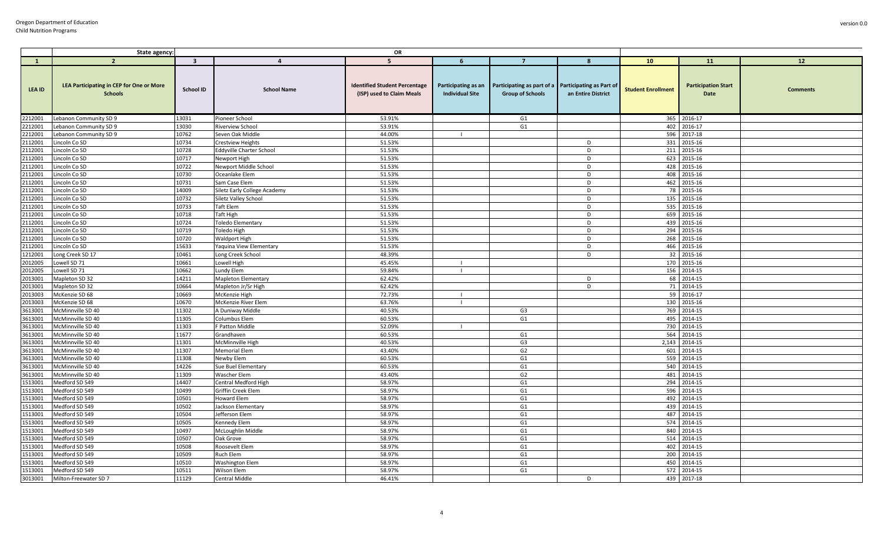|                    | State agency:                                                     |                         |                                     | OR                                                                |                                               |                                                                                |                    |                           |                                    |                 |
|--------------------|-------------------------------------------------------------------|-------------------------|-------------------------------------|-------------------------------------------------------------------|-----------------------------------------------|--------------------------------------------------------------------------------|--------------------|---------------------------|------------------------------------|-----------------|
| $\mathbf{1}$       | $\overline{2}$                                                    | $\overline{\mathbf{3}}$ | $\overline{4}$                      | 5                                                                 | -6                                            |                                                                                | -8                 | 10                        | 11                                 | 12              |
| <b>LEA ID</b>      | <b>LEA Participating in CEP for One or More</b><br><b>Schools</b> | School ID               | <b>School Name</b>                  | <b>Identified Student Percentage</b><br>(ISP) used to Claim Meals | Participating as an<br><b>Individual Site</b> | Participating as part of a Participating as Part of<br><b>Group of Schools</b> | an Entire District | <b>Student Enrollment</b> | <b>Participation Start</b><br>Date | <b>Comments</b> |
| 2212001            | Lebanon Community SD 9                                            | 13031                   | Pioneer School                      | 53.91%                                                            |                                               | G1                                                                             |                    |                           | 365 2016-17                        |                 |
| 2212001            | Lebanon Community SD 9                                            | 13030                   | <b>Riverview School</b>             | 53.91%                                                            |                                               | G <sub>1</sub>                                                                 |                    |                           | 402 2016-17                        |                 |
| 2212001            | Lebanon Community SD 9                                            | 10762                   | Seven Oak Middle                    | 44.00%                                                            | $\perp$                                       |                                                                                |                    |                           | 596 2017-18                        |                 |
| 2112001            | Lincoln Co SD                                                     | 10734                   | <b>Crestview Heights</b>            | 51.53%                                                            |                                               |                                                                                | D                  |                           | 331 2015-16                        |                 |
| 2112001            | Lincoln Co SD                                                     | 10728                   | Eddyville Charter School            | 51.53%                                                            |                                               |                                                                                | D                  |                           | 211 2015-16                        |                 |
| 2112001            | Lincoln Co SD                                                     | 10717                   | Newport High                        | 51.53%                                                            |                                               |                                                                                | D                  |                           | 623 2015-16                        |                 |
| 2112001            | Lincoln Co SD                                                     | 10722                   | Newport Middle School               | 51.53%                                                            |                                               |                                                                                | D                  | 428                       | 2015-16                            |                 |
| 2112001            | Lincoln Co SD                                                     | 10730                   | Oceanlake Elem                      | 51.53%                                                            |                                               |                                                                                | D                  |                           | 408 2015-16                        |                 |
| 2112001            | Lincoln Co SD                                                     | 10731                   | Sam Case Elem                       | 51.53%                                                            |                                               |                                                                                | D                  |                           | 462 2015-16                        |                 |
| 2112001            | Lincoln Co SD                                                     | 14009                   | Siletz Early College Academy        | 51.53%                                                            |                                               |                                                                                | D                  |                           | 78 2015-16                         |                 |
| 2112001            | Lincoln Co SD                                                     | 10732                   | Siletz Valley School                | 51.53%                                                            |                                               |                                                                                | D                  | 135                       | 2015-16                            |                 |
| 2112001            | Lincoln Co SD                                                     | 10733                   | <b>Taft Elem</b>                    | 51.53%                                                            |                                               |                                                                                | D                  |                           | 535 2015-16                        |                 |
| 2112001            | Lincoln Co SD                                                     | 10718                   | <b>Taft High</b>                    | 51.53%                                                            |                                               |                                                                                | D                  |                           | 659 2015-16                        |                 |
| 2112001            | Lincoln Co SD                                                     | 10724                   | <b>Toledo Elementary</b>            | 51.53%                                                            |                                               |                                                                                | D                  | 439                       | 2015-16                            |                 |
| 2112001            | Lincoln Co SD                                                     | 10719                   | Toledo High                         | 51.53%                                                            |                                               |                                                                                | D                  |                           | 294 2015-16                        |                 |
| 2112001            | Lincoln Co SD                                                     | 10720                   | <b>Waldport High</b>                | 51.53%                                                            |                                               |                                                                                | D                  | 268                       | 2015-16                            |                 |
| 2112001            | Lincoln Co SD                                                     | 15633                   | Yaquina View Elementary             | 51.53%                                                            |                                               |                                                                                | D                  | 466                       | 2015-16                            |                 |
| 1212001            | Long Creek SD 17                                                  | 10461                   | Long Creek School                   | 48.39%                                                            |                                               |                                                                                | D                  | 32                        | 2015-16                            |                 |
| 2012005            | Lowell SD 71                                                      | 10661                   | Lowell High                         | 45.45%                                                            | $\blacksquare$                                |                                                                                |                    |                           | 170 2015-16                        |                 |
| 2012005            | Lowell SD 71                                                      | 10662                   | Lundy Elem                          | 59.84%                                                            | $\mathbf{L}$                                  |                                                                                |                    |                           | 156 2014-15                        |                 |
| 2013001            | Mapleton SD 32                                                    | 14211                   | <b>Mapleton Elementary</b>          | 62.42%                                                            |                                               |                                                                                | D                  |                           | 68 2014-15                         |                 |
| 2013001            | Mapleton SD 32                                                    | 10664                   | Mapleton Jr/Sr High                 | 62.42%                                                            |                                               |                                                                                | D                  |                           | 71 2014-15                         |                 |
| 2013003            | McKenzie SD 68                                                    | 10669                   | McKenzie High                       | 72.73%                                                            | $\perp$                                       |                                                                                |                    |                           | 59 2016-17                         |                 |
| 2013003            | McKenzie SD 68                                                    | 10670                   | McKenzie River Elem                 | 63.76%                                                            | $\mathbf{L}$                                  |                                                                                |                    |                           | 130 2015-16                        |                 |
| 3613001            | McMinnville SD 40                                                 | 11302                   | A Duniway Middle                    | 40.53%                                                            |                                               | G3                                                                             |                    |                           | 769 2014-15                        |                 |
| 3613001            | McMinnville SD 40                                                 | 11305                   | Columbus Elem                       | 60.53%                                                            |                                               | G1                                                                             |                    | 495                       | 2014-15                            |                 |
| 3613001            | McMinnville SD 40                                                 | 11303                   | F Patton Middle                     | 52.09%                                                            | $\Box$                                        |                                                                                |                    | 730                       | 2014-15                            |                 |
| 3613001            | McMinnville SD 40                                                 | 11677                   | Grandhaven                          | 60.53%                                                            |                                               | G1                                                                             |                    | 564                       | 2014-15                            |                 |
| 3613001            | McMinnville SD 40                                                 | 11301<br>11307          | <b>McMinnville High</b>             | 40.53%<br>43.40%                                                  |                                               | G3                                                                             |                    | 2,143                     | 2014-15<br>2014-15                 |                 |
| 3613001            | McMinnville SD 40                                                 |                         | <b>Memorial Elem</b>                |                                                                   |                                               | G2                                                                             |                    | 601                       |                                    |                 |
| 3613001            | McMinnville SD 40                                                 | 11308                   | Newby Elem                          | 60.53%                                                            |                                               | G <sub>1</sub>                                                                 |                    | 559<br>540                | 2014-15                            |                 |
| 3613001<br>3613001 | McMinnville SD 40<br>McMinnville SD 40                            | 14226<br>11309          | Sue Buel Elementary<br>Wascher Elem | 60.53%<br>43.40%                                                  |                                               | G1<br>G <sub>2</sub>                                                           |                    | 481                       | 2014-15<br>2014-15                 |                 |
| 1513001            | Medford SD 549                                                    | 14407                   | Central Medford High                | 58.97%                                                            |                                               | G1                                                                             |                    | 294                       | 2014-15                            |                 |
| 1513001            | Medford SD 549                                                    | 10499                   | Griffin Creek Elem                  | 58.97%                                                            |                                               | G1                                                                             |                    | 596                       | 2014-15                            |                 |
| 1513001            | Medford SD 549                                                    | 10501                   | <b>Howard Elem</b>                  | 58.97%                                                            |                                               | G1                                                                             |                    | 492                       | 2014-15                            |                 |
| 1513001            | Medford SD 549                                                    | 10502                   | Jackson Elementary                  | 58.97%                                                            |                                               | G1                                                                             |                    | 439                       | 2014-15                            |                 |
| 1513001            | Medford SD 549                                                    | 10504                   | Jefferson Elem                      | 58.97%                                                            |                                               | G1                                                                             |                    | 487                       | 2014-15                            |                 |
| 1513001            | Medford SD 549                                                    | 10505                   | Kennedy Elem                        | 58.97%                                                            |                                               | G <sub>1</sub>                                                                 |                    |                           | 574 2014-15                        |                 |
| 1513001            | Medford SD 549                                                    | 10497                   | McLoughlin Middle                   | 58.97%                                                            |                                               | G1                                                                             |                    | 840                       | 2014-15                            |                 |
| 1513001            | Medford SD 549                                                    | 10507                   | Oak Grove                           | 58.97%                                                            |                                               | G1                                                                             |                    |                           | 514 2014-15                        |                 |
| 1513001            | Medford SD 549                                                    | 10508                   | Roosevelt Elem                      | 58.97%                                                            |                                               | G1                                                                             |                    | 402                       | 2014-15                            |                 |
| 1513001            | Medford SD 549                                                    | 10509                   | Ruch Elem                           | 58.97%                                                            |                                               | G1                                                                             |                    | 200                       | 2014-15                            |                 |
| 1513001            | Medford SD 549                                                    | 10510                   | <b>Washington Elem</b>              | 58.97%                                                            |                                               | G <sub>1</sub>                                                                 |                    | 450                       | 2014-15                            |                 |
| 1513001            | Medford SD 549                                                    | 10511                   | Wilson Elem                         | 58.97%                                                            |                                               | G1                                                                             |                    |                           | 572 2014-15                        |                 |
| 3013001            | Milton-Freewater SD 7                                             | 11129                   | Central Middle                      | 46.41%                                                            |                                               |                                                                                | D                  | 439                       | 2017-18                            |                 |
|                    |                                                                   |                         |                                     |                                                                   |                                               |                                                                                |                    |                           |                                    |                 |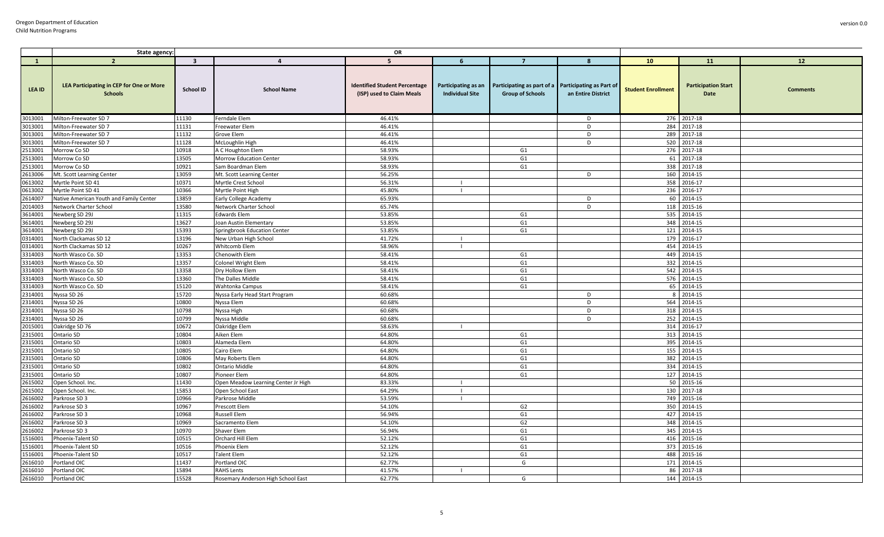|               | <b>OR</b><br>State agency:                                 |                         |                                     |                                                                   |                                               |                                                       |                                                       |                           |                                    |                 |
|---------------|------------------------------------------------------------|-------------------------|-------------------------------------|-------------------------------------------------------------------|-----------------------------------------------|-------------------------------------------------------|-------------------------------------------------------|---------------------------|------------------------------------|-----------------|
| $\mathbf{1}$  | $\overline{2}$                                             | $\overline{\mathbf{3}}$ | $\overline{a}$                      | 5                                                                 | -6                                            | $\overline{7}$                                        | 8                                                     | 10 <sub>1</sub>           | <b>11</b>                          | 12              |
| <b>LEA ID</b> | LEA Participating in CEP for One or More<br><b>Schools</b> | <b>School ID</b>        | <b>School Name</b>                  | <b>Identified Student Percentage</b><br>(ISP) used to Claim Meals | Participating as an<br><b>Individual Site</b> | Participating as part of a<br><b>Group of Schools</b> | <b>Participating as Part of</b><br>an Entire District | <b>Student Enrollment</b> | <b>Participation Start</b><br>Date | <b>Comments</b> |
| 3013001       | Milton-Freewater SD 7                                      | 11130                   | Ferndale Elem                       | 46.41%                                                            |                                               |                                                       | D                                                     |                           | 276 2017-18                        |                 |
| 3013001       | Milton-Freewater SD 7                                      | 11131                   | Freewater Elem                      | 46.41%                                                            |                                               |                                                       | D                                                     | 284                       | 2017-18                            |                 |
| 3013001       | Milton-Freewater SD 7                                      | 11132                   | Grove Elem                          | 46.41%                                                            |                                               |                                                       | D                                                     | 289                       | 2017-18                            |                 |
| 3013001       | Milton-Freewater SD 7                                      | 11128                   | McLoughlin High                     | 46.41%                                                            |                                               |                                                       | D                                                     | 520                       | 2017-18                            |                 |
| 2513001       | Morrow Co SD                                               | 10918                   | A C Houghton Elem                   | 58.93%                                                            |                                               | G1                                                    |                                                       |                           | 276 2017-18                        |                 |
| 2513001       | Morrow Co SD                                               | 13505                   | Morrow Education Center             | 58.93%                                                            |                                               | G <sub>1</sub>                                        |                                                       |                           | 61 2017-18                         |                 |
| 2513001       | Morrow Co SD                                               | 10921                   | Sam Boardman Elem                   | 58.93%                                                            |                                               | G <sub>1</sub>                                        |                                                       | 338                       | 2017-18                            |                 |
| 2613006       | Mt. Scott Learning Center                                  | 13059                   | Mt. Scott Learning Center           | 56.25%                                                            |                                               |                                                       | D                                                     | 160                       | 2014-15                            |                 |
| 0613002       | Myrtle Point SD 41                                         | 10371                   | Myrtle Crest School                 | 56.31%                                                            |                                               |                                                       |                                                       |                           | 358 2016-17                        |                 |
| 0613002       | Myrtle Point SD 41                                         | 10366                   | Myrtle Point High                   | 45.80%                                                            |                                               |                                                       |                                                       |                           | 236 2016-17                        |                 |
| 2614007       | Native American Youth and Family Center                    | 13859                   | Early College Academy               | 65.93%                                                            |                                               |                                                       | D                                                     | 60                        | 2014-15                            |                 |
| 2014003       | Network Charter School                                     | 13580                   | Network Charter School              | 65.74%                                                            |                                               |                                                       | D                                                     | 118                       | 2015-16                            |                 |
| 3614001       | Newberg SD 29J                                             | 11315                   | <b>Edwards Elem</b>                 | 53.85%                                                            |                                               | G1                                                    |                                                       |                           | 535 2014-15                        |                 |
| 3614001       | Newberg SD 29J                                             | 13627                   | Joan Austin Elementary              | 53.85%                                                            |                                               | G <sub>1</sub>                                        |                                                       | 348                       | 2014-15                            |                 |
| 3614001       | Newberg SD 29J                                             | 15393                   | Springbrook Education Center        | 53.85%                                                            |                                               | G <sub>1</sub>                                        |                                                       |                           | 121 2014-15                        |                 |
| 0314001       | North Clackamas SD 12                                      | 13196                   | New Urban High School               | 41.72%                                                            | - 1                                           |                                                       |                                                       | 179                       | 2016-17                            |                 |
| 0314001       | North Clackamas SD 12                                      | 10267                   | <b>Whitcomb Elem</b>                | 58.96%                                                            |                                               |                                                       |                                                       | 454                       | 2014-15                            |                 |
| 3314003       | North Wasco Co. SD                                         | 13353                   | Chenowith Elem                      | 58.41%                                                            |                                               | G <sub>1</sub>                                        |                                                       | 449                       | 2014-15                            |                 |
| 3314003       | North Wasco Co. SD                                         | 13357                   | <b>Colonel Wright Elem</b>          | 58.41%                                                            |                                               | G1                                                    |                                                       | 332                       | 2014-15                            |                 |
| 3314003       | North Wasco Co. SD                                         | 13358                   | Dry Hollow Elem                     | 58.41%                                                            |                                               | G1                                                    |                                                       | 542                       | 2014-15                            |                 |
| 3314003       | North Wasco Co. SD                                         | 13360                   | The Dalles Middle                   | 58.41%                                                            |                                               | G1                                                    |                                                       |                           | 576 2014-15                        |                 |
| 3314003       | North Wasco Co. SD                                         | 15120                   | Wahtonka Campus                     | 58.41%                                                            |                                               | G1                                                    |                                                       | 65                        | 2014-15                            |                 |
| 2314001       | Nyssa SD 26                                                | 15720                   | Nyssa Early Head Start Program      | 60.68%                                                            |                                               |                                                       | D                                                     | 8                         | 2014-15                            |                 |
| 2314001       | Nyssa SD 26                                                | 10800                   | Nyssa Elem                          | 60.68%                                                            |                                               |                                                       | D                                                     | 564                       | 2014-15                            |                 |
| 2314001       | Nyssa SD 26                                                | 10798                   | Nyssa High                          | 60.68%                                                            |                                               |                                                       | D                                                     |                           | 318 2014-15                        |                 |
| 2314001       | Nyssa SD 26                                                | 10799                   | Nyssa Middle                        | 60.68%                                                            |                                               |                                                       | D                                                     |                           | 252 2014-15                        |                 |
| 2015001       | Oakridge SD 76                                             | 10672                   | Oakridge Elem                       | 58.63%                                                            |                                               |                                                       |                                                       | 314                       | 2016-17                            |                 |
| 2315001       | Ontario SD                                                 | 10804                   | Aiken Elem                          | 64.80%                                                            |                                               | G1                                                    |                                                       |                           | 313 2014-15                        |                 |
| 2315001       | Ontario SD                                                 | 10803                   | Alameda Elem                        | 64.80%                                                            |                                               | G1                                                    |                                                       |                           | 395 2014-15                        |                 |
| 2315001       | Ontario SD                                                 | 10805                   | Cairo Elem                          | 64.80%                                                            |                                               | G <sub>1</sub>                                        |                                                       | 155                       | 2014-15                            |                 |
| 2315001       | Ontario SD                                                 | 10806                   | May Roberts Elem                    | 64.80%                                                            |                                               | G1                                                    |                                                       | 382                       | 2014-15                            |                 |
| 2315001       | Ontario SD                                                 | 10802                   | <b>Ontario Middle</b>               | 64.80%                                                            |                                               | G1                                                    |                                                       | 334                       | 2014-15                            |                 |
| 2315001       | Ontario SD                                                 | 10807                   | Pioneer Elem                        | 64.80%                                                            |                                               | G <sub>1</sub>                                        |                                                       | 127                       | 2014-15                            |                 |
| 2615002       | Open School. Inc                                           | 11430                   | Open Meadow Learning Center Jr High | 83.33%                                                            |                                               |                                                       |                                                       |                           | 50 2015-16                         |                 |
| 2615002       | Open School. Inc.                                          | 15853                   | Open School East                    | 64.29%                                                            | $\blacksquare$                                |                                                       |                                                       | 130                       | 2017-18                            |                 |
| 2616002       | Parkrose SD 3                                              | 10966                   | Parkrose Middle                     | 53.59%                                                            | - 1                                           |                                                       |                                                       |                           | 749 2015-16                        |                 |
| 2616002       | Parkrose SD 3                                              | 10967                   | Prescott Elem                       | 54.10%                                                            |                                               | G <sub>2</sub>                                        |                                                       |                           | 350 2014-15                        |                 |
| 2616002       | Parkrose SD 3                                              | 10968                   | <b>Russell Elem</b>                 | 56.94%                                                            |                                               | G <sub>1</sub>                                        |                                                       | 427                       | 2014-15                            |                 |
| 2616002       | Parkrose SD 3                                              | 10969                   | Sacramento Elem                     | 54.10%                                                            |                                               | G <sub>2</sub>                                        |                                                       | 348                       | 2014-15                            |                 |
| 2616002       | Parkrose SD 3                                              | 10970                   | Shaver Elem                         | 56.94%                                                            |                                               | G1                                                    |                                                       | 345                       | 2014-15                            |                 |
| 1516001       | Phoenix-Talent SD                                          | 10515                   | Orchard Hill Elem                   | 52.12%                                                            |                                               | G1                                                    |                                                       |                           | 416 2015-16                        |                 |
| 1516001       | Phoenix-Talent SD                                          | 10516                   | <b>Phoenix Elem</b>                 | 52.12%                                                            |                                               | G <sub>1</sub>                                        |                                                       | 373                       | 2015-16                            |                 |
| 1516001       | Phoenix-Talent SD                                          | 10517                   | <b>Talent Elem</b>                  | 52.12%                                                            |                                               | G1                                                    |                                                       | 488                       | 2015-16                            |                 |
| 2616010       | Portland OIC                                               | 11437                   | Portland OIC                        | 62.77%                                                            |                                               | G                                                     |                                                       |                           | 171 2014-15                        |                 |
| 2616010       | Portland OIC                                               | 15894                   | <b>RAHS Lents</b>                   | 41.57%                                                            |                                               |                                                       |                                                       | 86                        | 2017-18                            |                 |
| 2616010       | Portland OIC                                               | 15528                   | Rosemary Anderson High School East  | 62.77%                                                            |                                               | G                                                     |                                                       | 144                       | 2014-15                            |                 |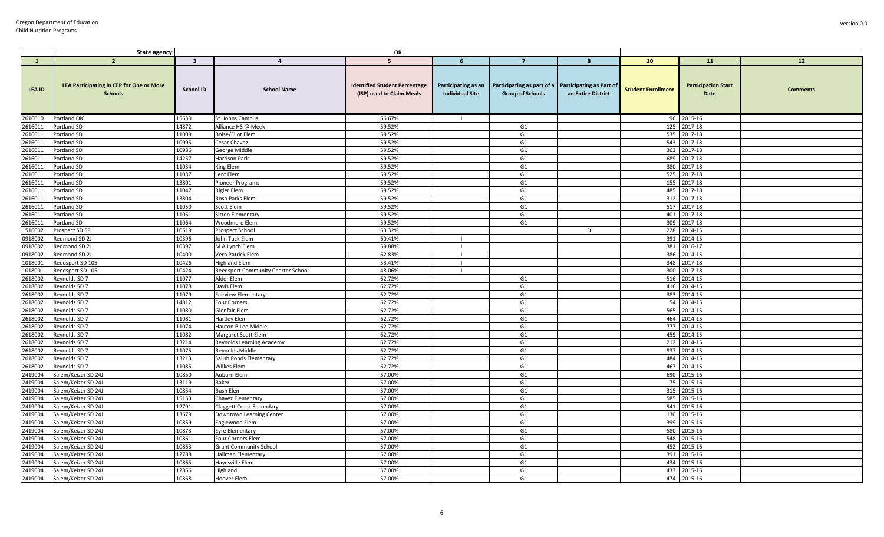|               | State agency:                                                     |                         |                                    | OR                                                                |                                               |                                                                                |                    |                           |                                    |                 |
|---------------|-------------------------------------------------------------------|-------------------------|------------------------------------|-------------------------------------------------------------------|-----------------------------------------------|--------------------------------------------------------------------------------|--------------------|---------------------------|------------------------------------|-----------------|
| $\mathbf{1}$  | $\overline{2}$                                                    | $\overline{\mathbf{3}}$ | $\overline{4}$                     | 5                                                                 | 6                                             | $\overline{7}$                                                                 | 8                  | 10 <sup>10</sup>          | 11                                 | 12              |
| <b>LEA ID</b> | <b>LEA Participating in CEP for One or More</b><br><b>Schools</b> | <b>School ID</b>        | <b>School Name</b>                 | <b>Identified Student Percentage</b><br>(ISP) used to Claim Meals | Participating as an<br><b>Individual Site</b> | Participating as part of a Participating as Part of<br><b>Group of Schools</b> | an Entire District | <b>Student Enrollment</b> | <b>Participation Start</b><br>Date | <b>Comments</b> |
| 2616010       | Portland OIC                                                      | 15630                   | St. Johns Campus                   | 66.67%                                                            |                                               |                                                                                |                    |                           | 96 2015-16                         |                 |
| 2616011       | Portland SD                                                       | 14872                   | Alliance HS @ Meek                 | 59.52%                                                            |                                               | G1                                                                             |                    | 125                       | 2017-18                            |                 |
| 2616011       | Portland SD                                                       | 11009                   | <b>Boise/Eliot Elem</b>            | 59.52%                                                            |                                               | G1                                                                             |                    | 535                       | 2017-18                            |                 |
| 2616011       | Portland SD                                                       | 10995                   | Cesar Chavez                       | 59.52%                                                            |                                               | G <sub>1</sub>                                                                 |                    | 543                       | 2017-18                            |                 |
| 2616011       | Portland SD                                                       | 10986                   | George Middle                      | 59.52%                                                            |                                               | G1                                                                             |                    | 363                       | 2017-18                            |                 |
| 2616011       | Portland SD                                                       | 14257                   | Harrison Park                      | 59.52%                                                            |                                               | G <sub>1</sub>                                                                 |                    | 689                       | 2017-18                            |                 |
| 2616011       | Portland SD                                                       | 11034                   | King Elem                          | 59.52%                                                            |                                               | G1                                                                             |                    | 380                       | 2017-18                            |                 |
| 2616011       | Portland SD                                                       | 11037                   | ent Elem                           | 59.52%                                                            |                                               | G1                                                                             |                    | 525                       | 2017-18                            |                 |
| 2616011       | Portland SD                                                       | 13801                   | Pioneer Programs                   | 59.52%                                                            |                                               | G1                                                                             |                    | 155                       | 2017-18                            |                 |
| 2616011       | Portland SD                                                       | 11047                   | Rigler Elem                        | 59.52%                                                            |                                               | G <sub>1</sub>                                                                 |                    | 485                       | 2017-18                            |                 |
| 2616011       | Portland SD                                                       | 13804                   | Rosa Parks Elem                    | 59.52%                                                            |                                               | G <sub>1</sub>                                                                 |                    | 312                       | 2017-18                            |                 |
| 2616011       | Portland SD                                                       | 11050                   | Scott Elem                         | 59.52%                                                            |                                               | G1                                                                             |                    |                           | 517 2017-18                        |                 |
| 2616011       | Portland SD                                                       | 11051                   | Sitton Elementary                  | 59.52%                                                            |                                               | G1                                                                             |                    | 401                       | 2017-18                            |                 |
| 2616011       | Portland SD                                                       | 11064                   | Woodmere Elem                      | 59.52%                                                            |                                               | G <sub>1</sub>                                                                 |                    | 309                       | 2017-18                            |                 |
| 1516002       | Prospect SD 59                                                    | 10519                   | Prospect School                    | 63.32%                                                            |                                               |                                                                                | D                  | 228                       | 2014-15                            |                 |
| 0918002       | Redmond SD 2J                                                     | 10396                   | John Tuck Elem                     | 60.41%                                                            |                                               |                                                                                |                    | 391                       | 2014-15                            |                 |
| 0918002       | Redmond SD 2J                                                     | 10397                   | M A Lynch Elem                     | 59.88%                                                            |                                               |                                                                                |                    | 381                       | 2016-17                            |                 |
| 0918002       | Redmond SD 2J                                                     | 10400                   | Vern Patrick Elem                  | 62.83%                                                            |                                               |                                                                                |                    | 386                       | 2014-15                            |                 |
| 1018001       | Reedsport SD 105                                                  | 10426                   | Highland Elem                      | 53.41%                                                            | $\blacksquare$                                |                                                                                |                    | 348                       | 2017-18                            |                 |
| 1018001       | Reedsport SD 105                                                  | 10424                   | Reedsport Community Charter School | 48.06%                                                            |                                               |                                                                                |                    |                           | 300 2017-18                        |                 |
| 2618002       | Reynolds SD 7                                                     | 11077                   | Alder Elem                         | 62.72%                                                            |                                               | G1                                                                             |                    |                           | 516 2014-15                        |                 |
| 2618002       | Reynolds SD 7                                                     | 11078                   | Davis Elem                         | 62.72%                                                            |                                               | G <sub>1</sub>                                                                 |                    | 416                       | 2014-15                            |                 |
| 2618002       | Reynolds SD 7                                                     | 11079                   | Fairview Elementary                | 62.72%                                                            |                                               | G <sub>1</sub>                                                                 |                    | 383                       | 2014-15                            |                 |
| 2618002       | Reynolds SD 7                                                     | 14812                   | Four Corners                       | 62.72%                                                            |                                               | G1                                                                             |                    |                           | 54 2014-15                         |                 |
| 2618002       | Reynolds SD 7                                                     | 11080                   | Glenfair Elem                      | 62.72%                                                            |                                               | G <sub>1</sub>                                                                 |                    | 565                       | 2014-15                            |                 |
| 2618002       | Reynolds SD 7                                                     | 11081                   | Hartley Elem                       | 62.72%                                                            |                                               | G <sub>1</sub>                                                                 |                    | 464                       | 2014-15                            |                 |
| 2618002       | Reynolds SD 7                                                     | 11074                   | Hauton B Lee Middle                | 62.72%                                                            |                                               | G1                                                                             |                    | 777                       | 2014-15                            |                 |
| 2618002       | Reynolds SD 7                                                     | 11082                   | Margaret Scott Elem                | 62.72%                                                            |                                               | G1                                                                             |                    | 459                       | 2014-15                            |                 |
| 2618002       | Reynolds SD 7                                                     | 13214                   | Reynolds Learning Academy          | 62.72%                                                            |                                               | G1                                                                             |                    |                           | 212 2014-15                        |                 |
| 2618002       | Reynolds SD 7                                                     | 11075                   | Reynolds Middle                    | 62.72%                                                            |                                               | G1                                                                             |                    | 937                       | 2014-15                            |                 |
| 2618002       | Reynolds SD 7                                                     | 13213                   | Salish Ponds Elementary            | 62.72%                                                            |                                               | G1                                                                             |                    | 484                       | 2014-15                            |                 |
| 2618002       | Reynolds SD 7                                                     | 11085                   | Wilkes Elem                        | 62.72%                                                            |                                               | G1                                                                             |                    | 467                       | 2014-15                            |                 |
| 2419004       | Salem/Keizer SD 24J                                               | 10850                   | Auburn Elem                        | 57.00%                                                            |                                               | G <sub>1</sub>                                                                 |                    | 690                       | 2015-16                            |                 |
| 2419004       | Salem/Keizer SD 24J                                               | 13119                   | Baker                              | 57.00%                                                            |                                               | G1                                                                             |                    |                           | 75 2015-16                         |                 |
| 2419004       | Salem/Keizer SD 24J                                               | 10854                   | Bush Elem                          | 57.00%                                                            |                                               | G1                                                                             |                    | 315                       | 2015-16                            |                 |
| 2419004       | Salem/Keizer SD 24J                                               | 15153                   | Chavez Elementary                  | 57.00%                                                            |                                               | G <sub>1</sub>                                                                 |                    | 585                       | 2015-16                            |                 |
| 2419004       | Salem/Keizer SD 24J                                               | 12791                   | <b>Claggett Creek Secondary</b>    | 57.00%                                                            |                                               | G <sub>1</sub>                                                                 |                    | 941                       | 2015-16                            |                 |
| 2419004       | Salem/Keizer SD 24J                                               | 13679                   | Downtown Learning Center           | 57.00%                                                            |                                               | G <sub>1</sub>                                                                 |                    | 130                       | 2015-16                            |                 |
| 2419004       | Salem/Keizer SD 24J                                               | 10859                   | Englewood Elem                     | 57.00%                                                            |                                               | G1                                                                             |                    | 399                       | 2015-16                            |                 |
| 2419004       | Salem/Keizer SD 24J                                               | 10873                   | Eyre Elementary                    | 57.00%                                                            |                                               | G1                                                                             |                    | 580                       | 2015-16                            |                 |
| 2419004       | Salem/Keizer SD 24J                                               | 10861                   | Four Corners Elem                  | 57.00%                                                            |                                               | G <sub>1</sub>                                                                 |                    | 548                       | 2015-16                            |                 |
| 2419004       | Salem/Keizer SD 24J                                               | 10863                   | <b>Grant Community School</b>      | 57.00%                                                            |                                               | G <sub>1</sub>                                                                 |                    | 452                       | 2015-16                            |                 |
| 2419004       | Salem/Keizer SD 24J                                               | 12788                   | Hallman Elementary                 | 57.00%                                                            |                                               | G1                                                                             |                    | 391                       | 2015-16                            |                 |
| 2419004       | Salem/Keizer SD 24J                                               | 10865                   | Hayesville Elem                    | 57.00%                                                            |                                               | G1                                                                             |                    | 434                       | 2015-16                            |                 |
| 2419004       | Salem/Keizer SD 24J                                               | 12866                   | Highland                           | 57.00%                                                            |                                               | G1                                                                             |                    | 433                       | 2015-16                            |                 |
| 2419004       | Salem/Keizer SD 24J                                               | 10868                   | Hoover Elem                        | 57.00%                                                            |                                               | G <sub>1</sub>                                                                 |                    |                           | 474 2015-16                        |                 |
|               |                                                                   |                         |                                    |                                                                   |                                               |                                                                                |                    |                           |                                    |                 |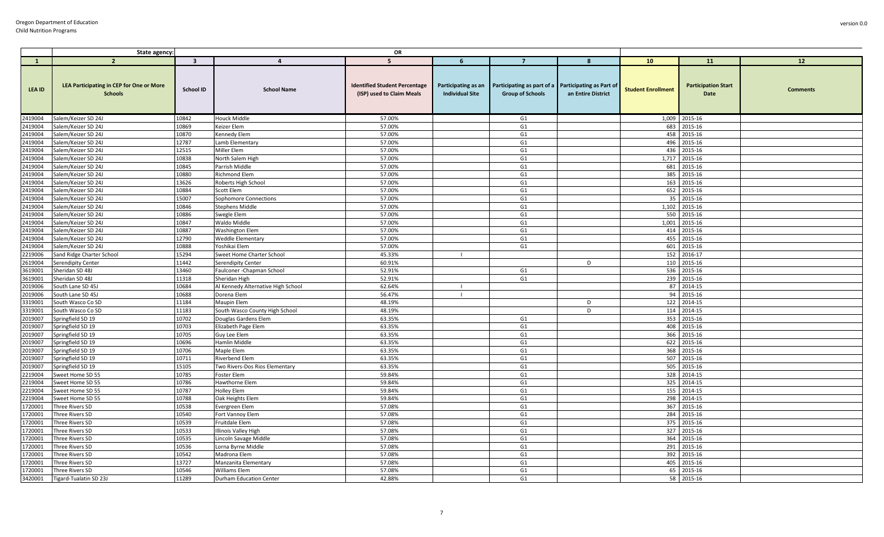|               | State agency:                                              |                         |                                    | OR                                                                |                                               |                                                       |                                                       |                           |                                    |          |
|---------------|------------------------------------------------------------|-------------------------|------------------------------------|-------------------------------------------------------------------|-----------------------------------------------|-------------------------------------------------------|-------------------------------------------------------|---------------------------|------------------------------------|----------|
| $\mathbf{1}$  | $\overline{2}$                                             | $\overline{\mathbf{3}}$ | $\overline{a}$                     | 5                                                                 | -6                                            | $\overline{7}$                                        | 8                                                     | 10                        | 11                                 | 12       |
| <b>LEA ID</b> | LEA Participating in CEP for One or More<br><b>Schools</b> | <b>School ID</b>        | <b>School Name</b>                 | <b>Identified Student Percentage</b><br>(ISP) used to Claim Meals | Participating as an<br><b>Individual Site</b> | Participating as part of a<br><b>Group of Schools</b> | <b>Participating as Part of</b><br>an Entire District | <b>Student Enrollment</b> | <b>Participation Start</b><br>Date | Comments |
| 2419004       | Salem/Keizer SD 24J                                        | 10842                   | <b>Houck Middle</b>                | 57.00%                                                            |                                               | G1                                                    |                                                       |                           | 1,009 2015-16                      |          |
| 2419004       | Salem/Keizer SD 24J                                        | 10869                   | Keizer Elem                        | 57.00%                                                            |                                               | G1                                                    |                                                       | 683                       | 2015-16                            |          |
| 2419004       | Salem/Keizer SD 24J                                        | 10870                   | Kennedy Elem                       | 57.00%                                                            |                                               | G <sub>1</sub>                                        |                                                       | 458                       | 2015-16                            |          |
| 2419004       | Salem/Keizer SD 24J                                        | 12787                   | Lamb Elementary                    | 57.00%                                                            |                                               | G <sub>1</sub>                                        |                                                       | 496                       | 2015-16                            |          |
| 2419004       | Salem/Keizer SD 24J                                        | 12515                   | Miller Elem                        | 57.00%                                                            |                                               | G1                                                    |                                                       | 436                       | 2015-16                            |          |
| 2419004       | Salem/Keizer SD 24J                                        | 10838                   | North Salem High                   | 57.00%                                                            |                                               | G <sub>1</sub>                                        |                                                       | 1,717                     | 2015-16                            |          |
| 2419004       | Salem/Keizer SD 24J                                        | 10845                   | Parrish Middle                     | 57.00%                                                            |                                               | G <sub>1</sub>                                        |                                                       | 681                       | 2015-16                            |          |
| 2419004       | Salem/Keizer SD 24J                                        | 10880                   | Richmond Elem                      | 57.00%                                                            |                                               | G1                                                    |                                                       | 385                       | 2015-16                            |          |
| 2419004       | Salem/Keizer SD 24J                                        | 13626                   | Roberts High School                | 57.00%                                                            |                                               | G1                                                    |                                                       |                           | 163 2015-16                        |          |
| 2419004       | Salem/Keizer SD 24J                                        | 10884                   | Scott Elem                         | 57.00%                                                            |                                               | G <sub>1</sub>                                        |                                                       |                           | 652 2015-16                        |          |
| 2419004       | Salem/Keizer SD 24J                                        | 15007                   | Sophomore Connections              | 57.00%                                                            |                                               | G <sub>1</sub>                                        |                                                       | 35                        | 2015-16                            |          |
| 2419004       | Salem/Keizer SD 24J                                        | 10846                   | <b>Stephens Middle</b>             | 57.00%                                                            |                                               | G <sub>1</sub>                                        |                                                       | 1,102                     | 2015-16                            |          |
| 2419004       | Salem/Keizer SD 24J                                        | 10886                   | Swegle Elem                        | 57.00%                                                            |                                               | G1                                                    |                                                       |                           | 550 2015-16                        |          |
| 2419004       | Salem/Keizer SD 24J                                        | 10847                   | Waldo Middle                       | 57.00%                                                            |                                               | G <sub>1</sub>                                        |                                                       | 1,001                     | 2015-16                            |          |
| 2419004       | Salem/Keizer SD 24J                                        | 10887                   | <b>Washington Elem</b>             | 57.00%                                                            |                                               | G <sub>1</sub>                                        |                                                       | 414                       | 2015-16                            |          |
| 2419004       | Salem/Keizer SD 24J                                        | 12790                   | <b>Weddle Elementary</b>           | 57.00%                                                            |                                               | G <sub>1</sub>                                        |                                                       | 455                       | 2015-16                            |          |
| 2419004       | Salem/Keizer SD 24J                                        | 10888                   | Yoshikai Elem                      | 57.00%                                                            |                                               | G1                                                    |                                                       | 601                       | 2015-16                            |          |
| 2219006       | Sand Ridge Charter School                                  | 15294                   | Sweet Home Charter School          | 45.33%                                                            |                                               |                                                       |                                                       | 152                       | 2016-17                            |          |
| 2619004       | Serendipity Center                                         | 11442                   | Serendipity Center                 | 60.91%                                                            |                                               |                                                       | D                                                     | 110                       | 2015-16                            |          |
| 3619001       | Sheridan SD 48J                                            | 13460                   | Faulconer - Chapman School         | 52.91%                                                            |                                               | G <sub>1</sub>                                        |                                                       | 536                       | 2015-16                            |          |
| 3619001       | Sheridan SD 48J                                            | 11318                   | Sheridan High                      | 52.91%                                                            |                                               | G1                                                    |                                                       |                           | 239 2015-16                        |          |
| 2019006       | South Lane SD 45J                                          | 10684                   | Al Kennedy Alternative High School | 62.64%                                                            |                                               |                                                       |                                                       | 87                        | 2014-15                            |          |
| 2019006       | South Lane SD 45J                                          | 10688                   | Dorena Elem                        | 56.47%                                                            |                                               |                                                       |                                                       | 94                        | 2015-16                            |          |
| 3319001       | South Wasco Co SD                                          | 11184                   | Maupin Elem                        | 48.19%                                                            |                                               |                                                       | D                                                     | 122                       | 2014-15                            |          |
| 3319001       | South Wasco Co SD                                          | 11183                   | South Wasco County High School     | 48.19%                                                            |                                               |                                                       | D                                                     |                           | 114 2014-15                        |          |
| 2019007       | Springfield SD 19                                          | 10702                   | Douglas Gardens Elem               | 63.35%                                                            |                                               | G <sub>1</sub>                                        |                                                       | 353                       | 2015-16                            |          |
| 2019007       | Springfield SD 19                                          | 10703                   | Elizabeth Page Elem                | 63.35%                                                            |                                               | G <sub>1</sub>                                        |                                                       | 408                       | 2015-16                            |          |
| 2019007       | Springfield SD 19                                          | 10705                   | <b>Guy Lee Elem</b>                | 63.35%                                                            |                                               | G1                                                    |                                                       | 366                       | 2015-16                            |          |
| 2019007       | Springfield SD 19                                          | 10696                   | Hamlin Middle                      | 63.35%                                                            |                                               | G1                                                    |                                                       | 622                       | 2015-16                            |          |
| 2019007       | Springfield SD 19                                          | 10706                   | Maple Elem                         | 63.35%                                                            |                                               | G <sub>1</sub>                                        |                                                       | 368                       | 2015-16                            |          |
| 2019007       | Springfield SD 19                                          | 10711                   | <b>Riverbend Elem</b>              | 63.35%                                                            |                                               | G1                                                    |                                                       | 507                       | 2015-16                            |          |
| 2019007       | Springfield SD 19                                          | 15105                   | Two Rivers-Dos Rios Elementary     | 63.35%                                                            |                                               | G1                                                    |                                                       | 505                       | 2015-16                            |          |
| 2219004       | Sweet Home SD 55                                           | 10785                   | Foster Elem                        | 59.84%                                                            |                                               | G <sub>1</sub>                                        |                                                       | 328                       | 2014-15                            |          |
| 2219004       | Sweet Home SD 55                                           | 10786                   | Hawthorne Elem                     | 59.84%                                                            |                                               | G1                                                    |                                                       | 325                       | 2014-15                            |          |
| 2219004       | Sweet Home SD 55                                           | 10787                   | <b>Holley Elem</b>                 | 59.84%                                                            |                                               | G <sub>1</sub>                                        |                                                       | 155                       | 2014-15                            |          |
| 2219004       | Sweet Home SD 55                                           | 10788                   | Oak Heights Elem                   | 59.84%                                                            |                                               | G <sub>1</sub>                                        |                                                       | 298                       | 2014-15                            |          |
| 1720001       | Three Rivers SD                                            | 10538                   | Evergreen Elem                     | 57.08%                                                            |                                               | G1                                                    |                                                       | 367                       | 2015-16                            |          |
| 1720001       | Three Rivers SD                                            | 10540                   | Fort Vannoy Elem                   | 57.08%                                                            |                                               | G <sub>1</sub>                                        |                                                       | 284                       | 2015-16                            |          |
| 1720001       | Three Rivers SD                                            | 10539                   | Fruitdale Elem                     | 57.08%                                                            |                                               | G <sub>1</sub>                                        |                                                       | 375                       | 2015-16                            |          |
| 1720001       | Three Rivers SD                                            | 10533                   | Illinois Valley High               | 57.08%                                                            |                                               | G1                                                    |                                                       | 327                       | 2015-16                            |          |
| 1720001       | Three Rivers SD                                            | 10535                   | Lincoln Savage Middle              | 57.08%                                                            |                                               | G1                                                    |                                                       |                           | 364 2015-16                        |          |
| 1720001       | Three Rivers SD                                            | 10536                   | Lorna Byrne Middle                 | 57.08%                                                            |                                               | G <sub>1</sub>                                        |                                                       | 291                       | 2015-16                            |          |
| 1720001       | Three Rivers SD                                            | 10542                   | Madrona Elem                       | 57.08%                                                            |                                               | G1                                                    |                                                       | 392                       | 2015-16                            |          |
| 1720001       | Three Rivers SD                                            | 13727                   | Manzanita Elementary               | 57.08%                                                            |                                               | G <sub>1</sub>                                        |                                                       |                           | 405 2015-16                        |          |
| 1720001       | Three Rivers SD                                            | 10546                   | Williams Elem                      | 57.08%                                                            |                                               | G1                                                    |                                                       |                           | 65 2015-16                         |          |
| 3420001       | Tigard-Tualatin SD 23J                                     | 11289                   | Durham Education Center            | 42.88%                                                            |                                               | G <sub>1</sub>                                        |                                                       | 58                        | 2015-16                            |          |